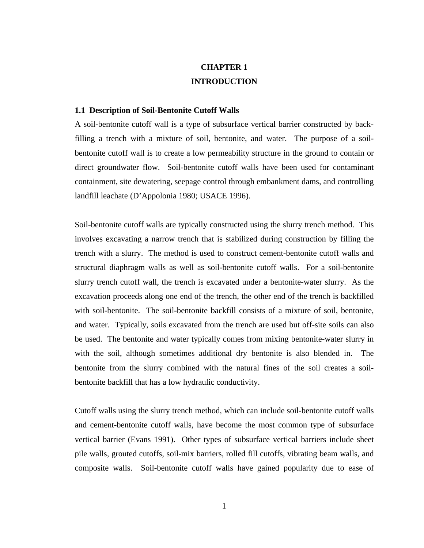# **CHAPTER 1 INTRODUCTION**

## **1.1 Description of Soil-Bentonite Cutoff Walls**

A soil-bentonite cutoff wall is a type of subsurface vertical barrier constructed by backfilling a trench with a mixture of soil, bentonite, and water. The purpose of a soilbentonite cutoff wall is to create a low permeability structure in the ground to contain or direct groundwater flow. Soil-bentonite cutoff walls have been used for contaminant containment, site dewatering, seepage control through embankment dams, and controlling landfill leachate (D'Appolonia 1980; USACE 1996).

Soil-bentonite cutoff walls are typically constructed using the slurry trench method. This involves excavating a narrow trench that is stabilized during construction by filling the trench with a slurry. The method is used to construct cement-bentonite cutoff walls and structural diaphragm walls as well as soil-bentonite cutoff walls. For a soil-bentonite slurry trench cutoff wall, the trench is excavated under a bentonite-water slurry. As the excavation proceeds along one end of the trench, the other end of the trench is backfilled with soil-bentonite. The soil-bentonite backfill consists of a mixture of soil, bentonite, and water. Typically, soils excavated from the trench are used but off-site soils can also be used. The bentonite and water typically comes from mixing bentonite-water slurry in with the soil, although sometimes additional dry bentonite is also blended in. The bentonite from the slurry combined with the natural fines of the soil creates a soilbentonite backfill that has a low hydraulic conductivity.

Cutoff walls using the slurry trench method, which can include soil-bentonite cutoff walls and cement-bentonite cutoff walls, have become the most common type of subsurface vertical barrier (Evans 1991). Other types of subsurface vertical barriers include sheet pile walls, grouted cutoffs, soil-mix barriers, rolled fill cutoffs, vibrating beam walls, and composite walls. Soil-bentonite cutoff walls have gained popularity due to ease of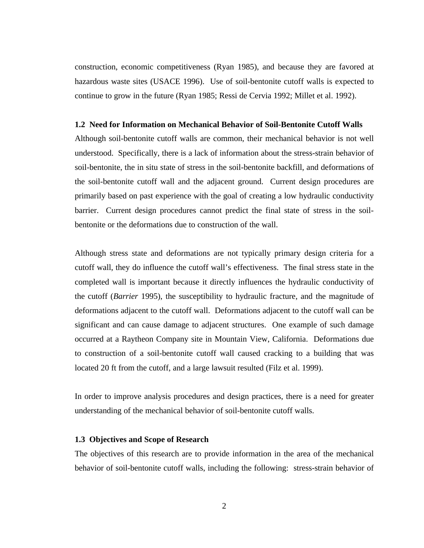construction, economic competitiveness (Ryan 1985), and because they are favored at hazardous waste sites (USACE 1996). Use of soil-bentonite cutoff walls is expected to continue to grow in the future (Ryan 1985; Ressi de Cervia 1992; Millet et al. 1992).

#### **1.2 Need for Information on Mechanical Behavior of Soil-Bentonite Cutoff Walls**

Although soil-bentonite cutoff walls are common, their mechanical behavior is not well understood. Specifically, there is a lack of information about the stress-strain behavior of soil-bentonite, the in situ state of stress in the soil-bentonite backfill, and deformations of the soil-bentonite cutoff wall and the adjacent ground. Current design procedures are primarily based on past experience with the goal of creating a low hydraulic conductivity barrier. Current design procedures cannot predict the final state of stress in the soilbentonite or the deformations due to construction of the wall.

Although stress state and deformations are not typically primary design criteria for a cutoff wall, they do influence the cutoff wall's effectiveness. The final stress state in the completed wall is important because it directly influences the hydraulic conductivity of the cutoff (*Barrier* 1995), the susceptibility to hydraulic fracture, and the magnitude of deformations adjacent to the cutoff wall. Deformations adjacent to the cutoff wall can be significant and can cause damage to adjacent structures. One example of such damage occurred at a Raytheon Company site in Mountain View, California. Deformations due to construction of a soil-bentonite cutoff wall caused cracking to a building that was located 20 ft from the cutoff, and a large lawsuit resulted (Filz et al. 1999).

In order to improve analysis procedures and design practices, there is a need for greater understanding of the mechanical behavior of soil-bentonite cutoff walls.

## **1.3 Objectives and Scope of Research**

The objectives of this research are to provide information in the area of the mechanical behavior of soil-bentonite cutoff walls, including the following: stress-strain behavior of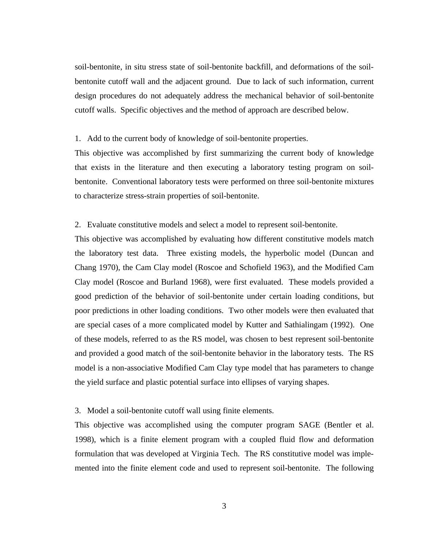soil-bentonite, in situ stress state of soil-bentonite backfill, and deformations of the soilbentonite cutoff wall and the adjacent ground. Due to lack of such information, current design procedures do not adequately address the mechanical behavior of soil-bentonite cutoff walls. Specific objectives and the method of approach are described below.

#### 1. Add to the current body of knowledge of soil-bentonite properties.

This objective was accomplished by first summarizing the current body of knowledge that exists in the literature and then executing a laboratory testing program on soilbentonite. Conventional laboratory tests were performed on three soil-bentonite mixtures to characterize stress-strain properties of soil-bentonite.

### 2. Evaluate constitutive models and select a model to represent soil-bentonite.

This objective was accomplished by evaluating how different constitutive models match the laboratory test data. Three existing models, the hyperbolic model (Duncan and Chang 1970), the Cam Clay model (Roscoe and Schofield 1963), and the Modified Cam Clay model (Roscoe and Burland 1968), were first evaluated. These models provided a good prediction of the behavior of soil-bentonite under certain loading conditions, but poor predictions in other loading conditions. Two other models were then evaluated that are special cases of a more complicated model by Kutter and Sathialingam (1992). One of these models, referred to as the RS model, was chosen to best represent soil-bentonite and provided a good match of the soil-bentonite behavior in the laboratory tests. The RS model is a non-associative Modified Cam Clay type model that has parameters to change the yield surface and plastic potential surface into ellipses of varying shapes.

#### 3. Model a soil-bentonite cutoff wall using finite elements.

This objective was accomplished using the computer program SAGE (Bentler et al. 1998), which is a finite element program with a coupled fluid flow and deformation formulation that was developed at Virginia Tech. The RS constitutive model was implemented into the finite element code and used to represent soil-bentonite. The following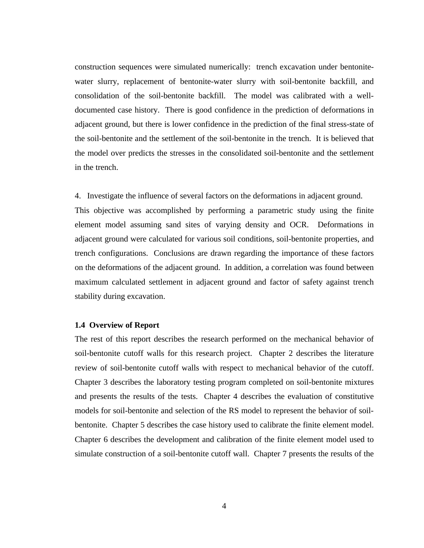construction sequences were simulated numerically: trench excavation under bentonitewater slurry, replacement of bentonite-water slurry with soil-bentonite backfill, and consolidation of the soil-bentonite backfill. The model was calibrated with a welldocumented case history. There is good confidence in the prediction of deformations in adjacent ground, but there is lower confidence in the prediction of the final stress-state of the soil-bentonite and the settlement of the soil-bentonite in the trench. It is believed that the model over predicts the stresses in the consolidated soil-bentonite and the settlement in the trench.

4. Investigate the influence of several factors on the deformations in adjacent ground.

This objective was accomplished by performing a parametric study using the finite element model assuming sand sites of varying density and OCR. Deformations in adjacent ground were calculated for various soil conditions, soil-bentonite properties, and trench configurations. Conclusions are drawn regarding the importance of these factors on the deformations of the adjacent ground. In addition, a correlation was found between maximum calculated settlement in adjacent ground and factor of safety against trench stability during excavation.

## **1.4 Overview of Report**

The rest of this report describes the research performed on the mechanical behavior of soil-bentonite cutoff walls for this research project. Chapter 2 describes the literature review of soil-bentonite cutoff walls with respect to mechanical behavior of the cutoff. Chapter 3 describes the laboratory testing program completed on soil-bentonite mixtures and presents the results of the tests. Chapter 4 describes the evaluation of constitutive models for soil-bentonite and selection of the RS model to represent the behavior of soilbentonite. Chapter 5 describes the case history used to calibrate the finite element model. Chapter 6 describes the development and calibration of the finite element model used to simulate construction of a soil-bentonite cutoff wall. Chapter 7 presents the results of the